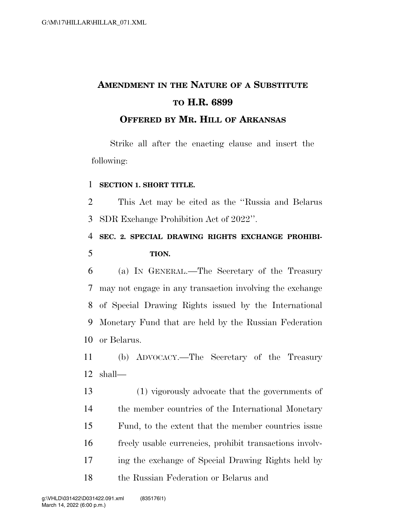## **AMENDMENT IN THE NATURE OF A SUBSTITUTE TO H.R. 6899 OFFERED BY MR. HILL OF ARKANSAS**

Strike all after the enacting clause and insert the following:

## **SECTION 1. SHORT TITLE.**

 This Act may be cited as the ''Russia and Belarus SDR Exchange Prohibition Act of 2022''.

## **SEC. 2. SPECIAL DRAWING RIGHTS EXCHANGE PROHIBI-TION.**

 (a) IN GENERAL.—The Secretary of the Treasury may not engage in any transaction involving the exchange of Special Drawing Rights issued by the International Monetary Fund that are held by the Russian Federation or Belarus.

 (b) ADVOCACY.—The Secretary of the Treasury shall—

 (1) vigorously advocate that the governments of the member countries of the International Monetary Fund, to the extent that the member countries issue freely usable currencies, prohibit transactions involv- ing the exchange of Special Drawing Rights held by the Russian Federation or Belarus and